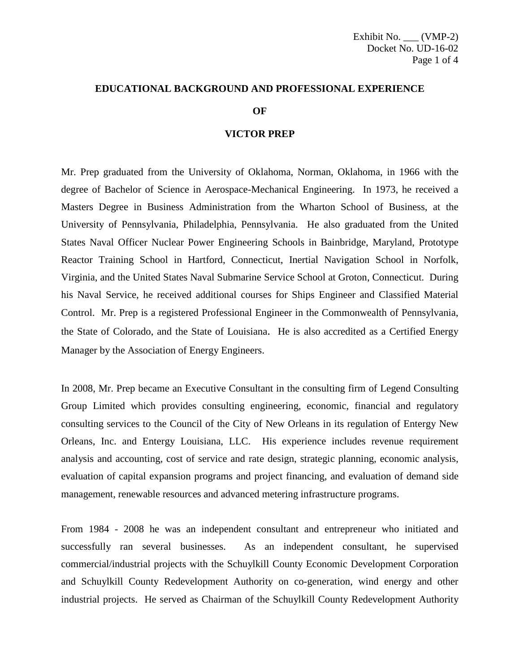## **EDUCATIONAL BACKGROUND AND PROFESSIONAL EXPERIENCE**

## **OF**

## **VICTOR PREP**

Mr. Prep graduated from the University of Oklahoma, Norman, Oklahoma, in 1966 with the degree of Bachelor of Science in Aerospace-Mechanical Engineering. In 1973, he received a Masters Degree in Business Administration from the Wharton School of Business, at the University of Pennsylvania, Philadelphia, Pennsylvania. He also graduated from the United States Naval Officer Nuclear Power Engineering Schools in Bainbridge, Maryland, Prototype Reactor Training School in Hartford, Connecticut, Inertial Navigation School in Norfolk, Virginia, and the United States Naval Submarine Service School at Groton, Connecticut. During his Naval Service, he received additional courses for Ships Engineer and Classified Material Control. Mr. Prep is a registered Professional Engineer in the Commonwealth of Pennsylvania, the State of Colorado, and the State of Louisiana. He is also accredited as a Certified Energy Manager by the Association of Energy Engineers.

In 2008, Mr. Prep became an Executive Consultant in the consulting firm of Legend Consulting Group Limited which provides consulting engineering, economic, financial and regulatory consulting services to the Council of the City of New Orleans in its regulation of Entergy New Orleans, Inc. and Entergy Louisiana, LLC. His experience includes revenue requirement analysis and accounting, cost of service and rate design, strategic planning, economic analysis, evaluation of capital expansion programs and project financing, and evaluation of demand side management, renewable resources and advanced metering infrastructure programs.

From 1984 - 2008 he was an independent consultant and entrepreneur who initiated and successfully ran several businesses. As an independent consultant, he supervised commercial/industrial projects with the Schuylkill County Economic Development Corporation and Schuylkill County Redevelopment Authority on co-generation, wind energy and other industrial projects. He served as Chairman of the Schuylkill County Redevelopment Authority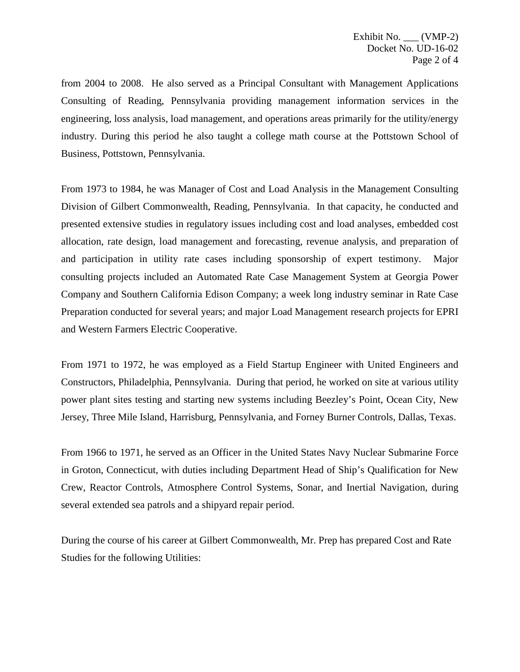from 2004 to 2008. He also served as a Principal Consultant with Management Applications Consulting of Reading, Pennsylvania providing management information services in the engineering, loss analysis, load management, and operations areas primarily for the utility/energy industry. During this period he also taught a college math course at the Pottstown School of Business, Pottstown, Pennsylvania.

From 1973 to 1984, he was Manager of Cost and Load Analysis in the Management Consulting Division of Gilbert Commonwealth, Reading, Pennsylvania. In that capacity, he conducted and presented extensive studies in regulatory issues including cost and load analyses, embedded cost allocation, rate design, load management and forecasting, revenue analysis, and preparation of and participation in utility rate cases including sponsorship of expert testimony. Major consulting projects included an Automated Rate Case Management System at Georgia Power Company and Southern California Edison Company; a week long industry seminar in Rate Case Preparation conducted for several years; and major Load Management research projects for EPRI and Western Farmers Electric Cooperative.

From 1971 to 1972, he was employed as a Field Startup Engineer with United Engineers and Constructors, Philadelphia, Pennsylvania. During that period, he worked on site at various utility power plant sites testing and starting new systems including Beezley's Point, Ocean City, New Jersey, Three Mile Island, Harrisburg, Pennsylvania, and Forney Burner Controls, Dallas, Texas.

From 1966 to 1971, he served as an Officer in the United States Navy Nuclear Submarine Force in Groton, Connecticut, with duties including Department Head of Ship's Qualification for New Crew, Reactor Controls, Atmosphere Control Systems, Sonar, and Inertial Navigation, during several extended sea patrols and a shipyard repair period.

During the course of his career at Gilbert Commonwealth, Mr. Prep has prepared Cost and Rate Studies for the following Utilities: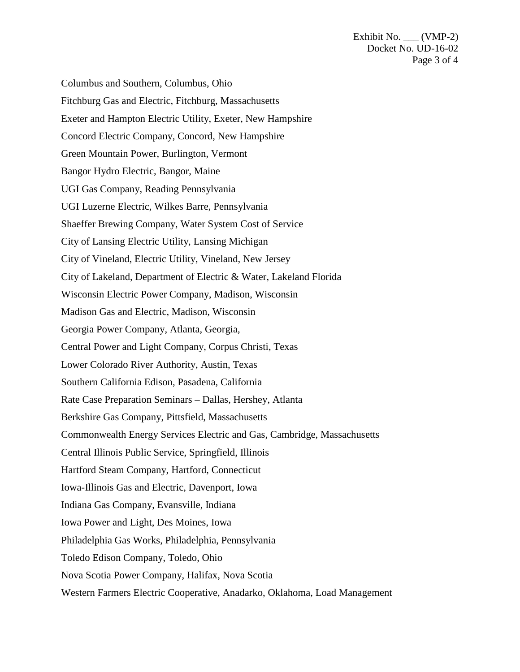Exhibit No. \_\_\_ (VMP-2) Docket No. UD-16-02 Page 3 of 4

Columbus and Southern, Columbus, Ohio Fitchburg Gas and Electric, Fitchburg, Massachusetts Exeter and Hampton Electric Utility, Exeter, New Hampshire Concord Electric Company, Concord, New Hampshire Green Mountain Power, Burlington, Vermont Bangor Hydro Electric, Bangor, Maine UGI Gas Company, Reading Pennsylvania UGI Luzerne Electric, Wilkes Barre, Pennsylvania Shaeffer Brewing Company, Water System Cost of Service City of Lansing Electric Utility, Lansing Michigan City of Vineland, Electric Utility, Vineland, New Jersey City of Lakeland, Department of Electric & Water, Lakeland Florida Wisconsin Electric Power Company, Madison, Wisconsin Madison Gas and Electric, Madison, Wisconsin Georgia Power Company, Atlanta, Georgia, Central Power and Light Company, Corpus Christi, Texas Lower Colorado River Authority, Austin, Texas Southern California Edison, Pasadena, California Rate Case Preparation Seminars – Dallas, Hershey, Atlanta Berkshire Gas Company, Pittsfield, Massachusetts Commonwealth Energy Services Electric and Gas, Cambridge, Massachusetts Central Illinois Public Service, Springfield, Illinois Hartford Steam Company, Hartford, Connecticut Iowa-Illinois Gas and Electric, Davenport, Iowa Indiana Gas Company, Evansville, Indiana Iowa Power and Light, Des Moines, Iowa Philadelphia Gas Works, Philadelphia, Pennsylvania Toledo Edison Company, Toledo, Ohio Nova Scotia Power Company, Halifax, Nova Scotia Western Farmers Electric Cooperative, Anadarko, Oklahoma, Load Management